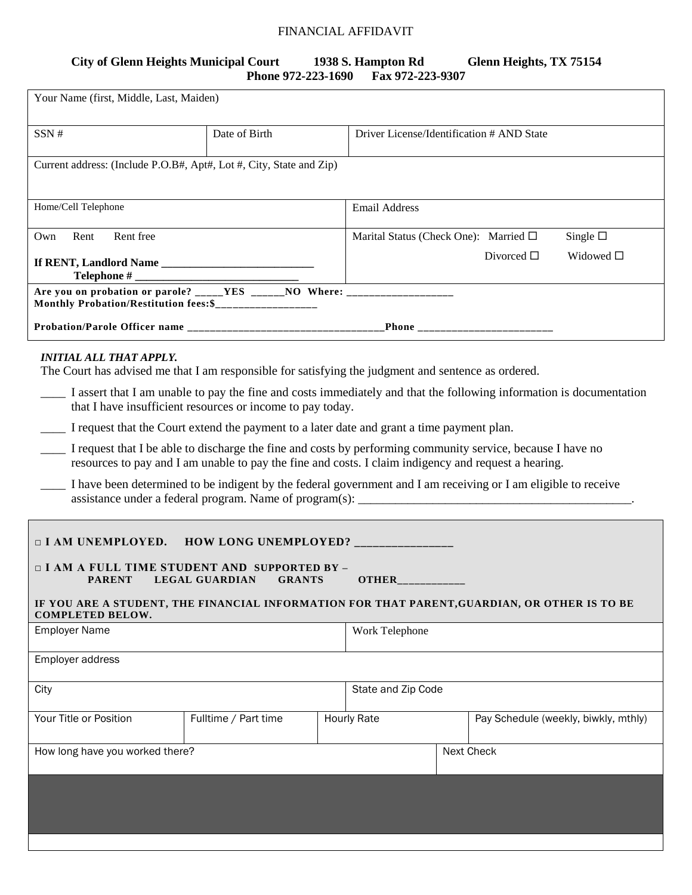## FINANCIAL AFFIDAVIT

## **City of Glenn Heights Municipal Court 1938 S. Hampton Rd Glenn Heights, TX 75154 Phone 972-223-1690**

| Your Name (first, Middle, Last, Maiden)                                                                                                         |                                                                                                      |                                       |                                           |                  |                                                                                                                     |
|-------------------------------------------------------------------------------------------------------------------------------------------------|------------------------------------------------------------------------------------------------------|---------------------------------------|-------------------------------------------|------------------|---------------------------------------------------------------------------------------------------------------------|
| SSN#                                                                                                                                            | Date of Birth                                                                                        |                                       | Driver License/Identification # AND State |                  |                                                                                                                     |
| Current address: (Include P.O.B#, Apt#, Lot #, City, State and Zip)                                                                             |                                                                                                      |                                       |                                           |                  |                                                                                                                     |
| Home/Cell Telephone                                                                                                                             |                                                                                                      |                                       | <b>Email Address</b>                      |                  |                                                                                                                     |
| Rent free<br>Rent<br>Own                                                                                                                        |                                                                                                      | Marital Status (Check One): Married □ |                                           | Single $\square$ |                                                                                                                     |
| Telephone $#_$                                                                                                                                  |                                                                                                      |                                       | Divorced $\square$<br>Widowed $\square$   |                  |                                                                                                                     |
| Are you on probation or parole? _____YES ______NO Where: _______________________                                                                |                                                                                                      |                                       |                                           |                  |                                                                                                                     |
|                                                                                                                                                 |                                                                                                      |                                       |                                           |                  |                                                                                                                     |
| <b>INITIAL ALL THAT APPLY.</b><br>The Court has advised me that I am responsible for satisfying the judgment and sentence as ordered.           |                                                                                                      |                                       |                                           |                  |                                                                                                                     |
|                                                                                                                                                 | that I have insufficient resources or income to pay today.                                           |                                       |                                           |                  | I assert that I am unable to pay the fine and costs immediately and that the following information is documentation |
| I request that the Court extend the payment to a later date and grant a time payment plan.                                                      |                                                                                                      |                                       |                                           |                  |                                                                                                                     |
|                                                                                                                                                 | resources to pay and I am unable to pay the fine and costs. I claim indigency and request a hearing. |                                       |                                           |                  | I request that I be able to discharge the fine and costs by performing community service, because I have no         |
| I have been determined to be indigent by the federal government and I am receiving or I am eligible to receive                                  |                                                                                                      |                                       |                                           |                  |                                                                                                                     |
| <b>I AM UNEMPLOYED. HOW LONG UNEMPLOYED?</b> ________________                                                                                   |                                                                                                      |                                       |                                           |                  |                                                                                                                     |
| <b><math>\Box</math> I AM A FULL TIME STUDENT AND SUPPORTED BY -</b><br><b>PARENT</b><br><b>LEGAL GUARDIAN</b><br><b>GRANTS</b><br><b>OTHER</b> |                                                                                                      |                                       |                                           |                  |                                                                                                                     |
| IF YOU ARE A STUDENT, THE FINANCIAL INFORMATION FOR THAT PARENT, GUARDIAN, OR OTHER IS TO BE<br><b>COMPLETED BELOW.</b>                         |                                                                                                      |                                       |                                           |                  |                                                                                                                     |
| <b>Employer Name</b>                                                                                                                            |                                                                                                      |                                       | Work Telephone                            |                  |                                                                                                                     |
| Employer address                                                                                                                                |                                                                                                      |                                       |                                           |                  |                                                                                                                     |
| City                                                                                                                                            |                                                                                                      | State and Zip Code                    |                                           |                  |                                                                                                                     |
| Your Title or Position                                                                                                                          | Fulltime / Part time                                                                                 |                                       | <b>Hourly Rate</b>                        |                  | Pay Schedule (weekly, biwkly, mthly)                                                                                |
| How long have you worked there?                                                                                                                 |                                                                                                      |                                       |                                           | Next Check       |                                                                                                                     |
|                                                                                                                                                 |                                                                                                      |                                       |                                           |                  |                                                                                                                     |
|                                                                                                                                                 |                                                                                                      |                                       |                                           |                  |                                                                                                                     |
|                                                                                                                                                 |                                                                                                      |                                       |                                           |                  |                                                                                                                     |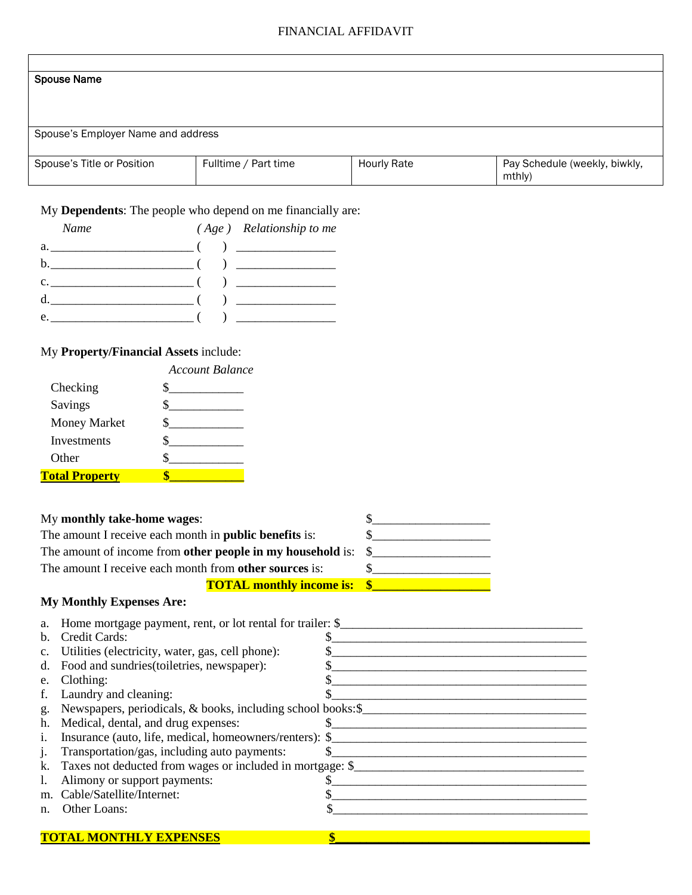### FINANCIAL AFFIDAVIT

### Spouse Name

Spouse's Employer Name and address

| Spouse's Title or Position | Fulltime / Part time | <b>Hourly Rate</b> | Pay Schedule (weekly, biwkly, |
|----------------------------|----------------------|--------------------|-------------------------------|
|                            |                      |                    | mthly                         |

## My **Dependents**: The people who depend on me financially are:

| Name                                                 | $(Age)$ Relationship to me |
|------------------------------------------------------|----------------------------|
|                                                      |                            |
|                                                      |                            |
| c. $\frac{1}{2}$ ( ) $\frac{1}{2}$ ( ) $\frac{1}{2}$ |                            |
| d. $\qquad \qquad$ (                                 | $\overline{a}$             |
| $e.$ (                                               |                            |

# My **Property/Financial Assets** include:

|                       | Account Balance |
|-----------------------|-----------------|
| Checking              |                 |
| Savings               |                 |
| <b>Money Market</b>   |                 |
| Investments           |                 |
| Other                 |                 |
| <b>Total Property</b> |                 |

| My monthly take-home wages:                                                     |  |
|---------------------------------------------------------------------------------|--|
| The amount I receive each month in <b>public benefits</b> is:                   |  |
| The amount of income from <b>other people in my household</b> is: $\frac{1}{2}$ |  |
| The amount I receive each month from other sources is:                          |  |
| <b>TOTAL monthly income is: \$</b>                                              |  |
| <b>My Monthly Expenses Are:</b>                                                 |  |
| a. Home mortgage payment, rent, or lot rental for trailer: \$                   |  |
| b. Credit Cards:                                                                |  |
| a Itilitias (algoriaity water assessed) phone                                   |  |

|                | c. Utilities (electricity, water, gas, cell phone):         |  |
|----------------|-------------------------------------------------------------|--|
| d.             | Food and sundries (toiletries, newspaper):                  |  |
| e.             | Clothing:                                                   |  |
| f.             | Laundry and cleaning:                                       |  |
| g.             | Newspapers, periodicals, & books, including school books:\$ |  |
| h.             | Medical, dental, and drug expenses:                         |  |
| 1.             | Insurance (auto, life, medical, homeowners/renters): \$     |  |
| $\mathbf{1}$ . | Transportation/gas, including auto payments:                |  |
| k.             | Taxes not deducted from wages or included in mortgage: \$   |  |
|                | Alimony or support payments:                                |  |
| m.             | Cable/Satellite/Internet:                                   |  |
| n.             | Other Loans:                                                |  |
|                |                                                             |  |
|                |                                                             |  |